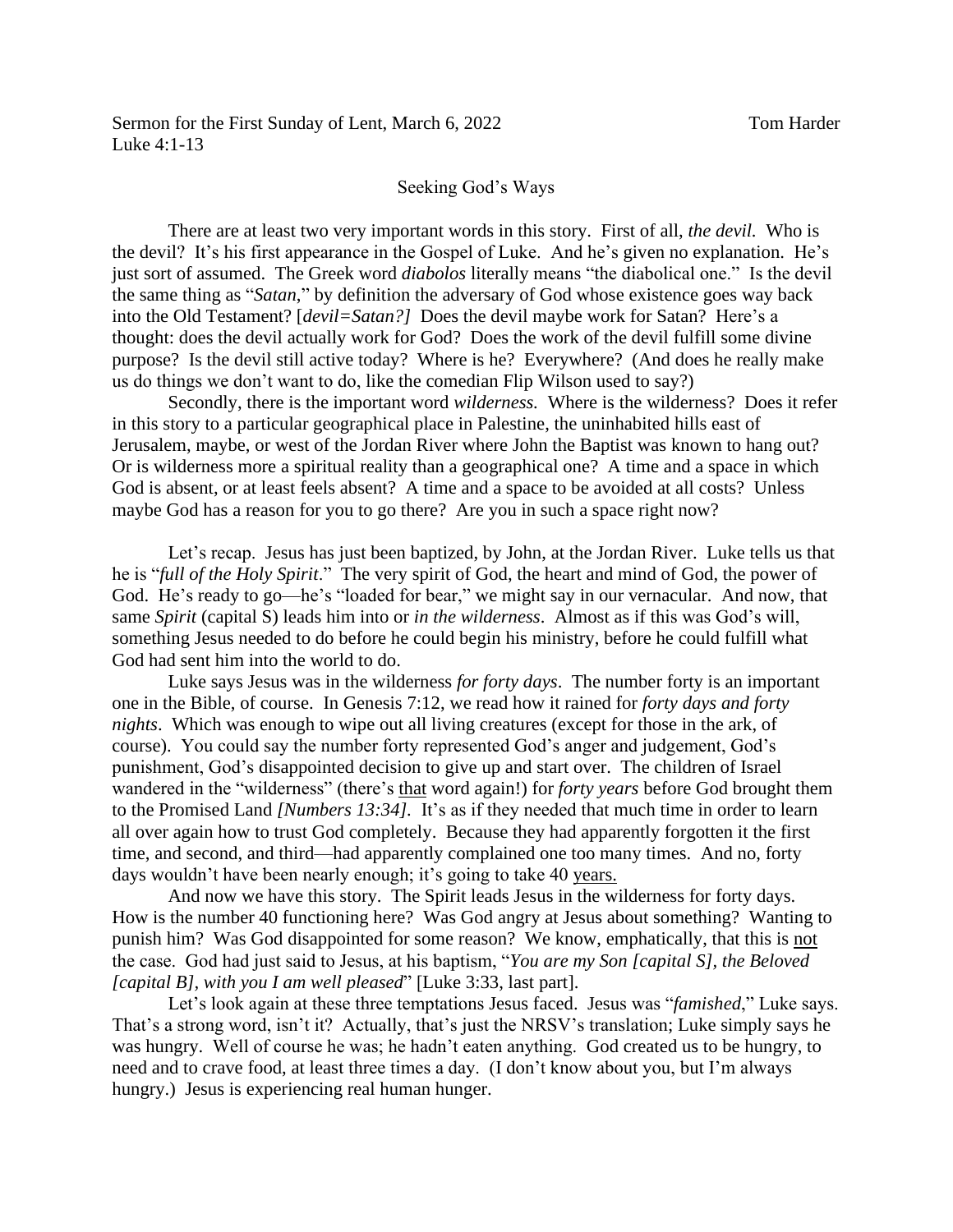## Seeking God's Ways

There are at least two very important words in this story. First of all, *the devil.* Who is the devil? It's his first appearance in the Gospel of Luke. And he's given no explanation. He's just sort of assumed. The Greek word *diabolos* literally means "the diabolical one." Is the devil the same thing as "*Satan*," by definition the adversary of God whose existence goes way back into the Old Testament? [*devil=Satan?]* Does the devil maybe work for Satan? Here's a thought: does the devil actually work for God? Does the work of the devil fulfill some divine purpose? Is the devil still active today? Where is he? Everywhere? (And does he really make us do things we don't want to do, like the comedian Flip Wilson used to say?)

Secondly, there is the important word *wilderness.* Where is the wilderness? Does it refer in this story to a particular geographical place in Palestine, the uninhabited hills east of Jerusalem, maybe, or west of the Jordan River where John the Baptist was known to hang out? Or is wilderness more a spiritual reality than a geographical one? A time and a space in which God is absent, or at least feels absent? A time and a space to be avoided at all costs? Unless maybe God has a reason for you to go there? Are you in such a space right now?

Let's recap. Jesus has just been baptized, by John, at the Jordan River. Luke tells us that he is "*full of the Holy Spirit*." The very spirit of God, the heart and mind of God, the power of God. He's ready to go—he's "loaded for bear," we might say in our vernacular. And now, that same *Spirit* (capital S) leads him into or *in the wilderness*. Almost as if this was God's will, something Jesus needed to do before he could begin his ministry, before he could fulfill what God had sent him into the world to do.

Luke says Jesus was in the wilderness *for forty days*. The number forty is an important one in the Bible, of course. In Genesis 7:12, we read how it rained for *forty days and forty nights*. Which was enough to wipe out all living creatures (except for those in the ark, of course). You could say the number forty represented God's anger and judgement, God's punishment, God's disappointed decision to give up and start over. The children of Israel wandered in the "wilderness" (there's that word again!) for *forty years* before God brought them to the Promised Land *[Numbers 13:34].* It's as if they needed that much time in order to learn all over again how to trust God completely. Because they had apparently forgotten it the first time, and second, and third—had apparently complained one too many times. And no, forty days wouldn't have been nearly enough; it's going to take 40 years.

And now we have this story. The Spirit leads Jesus in the wilderness for forty days. How is the number 40 functioning here? Was God angry at Jesus about something? Wanting to punish him? Was God disappointed for some reason? We know, emphatically, that this is not the case. God had just said to Jesus, at his baptism, "*You are my Son [capital S], the Beloved [capital B], with you I am well pleased*" [Luke 3:33, last part].

Let's look again at these three temptations Jesus faced. Jesus was "*famished*," Luke says. That's a strong word, isn't it? Actually, that's just the NRSV's translation; Luke simply says he was hungry. Well of course he was; he hadn't eaten anything. God created us to be hungry, to need and to crave food, at least three times a day. (I don't know about you, but I'm always hungry.) Jesus is experiencing real human hunger.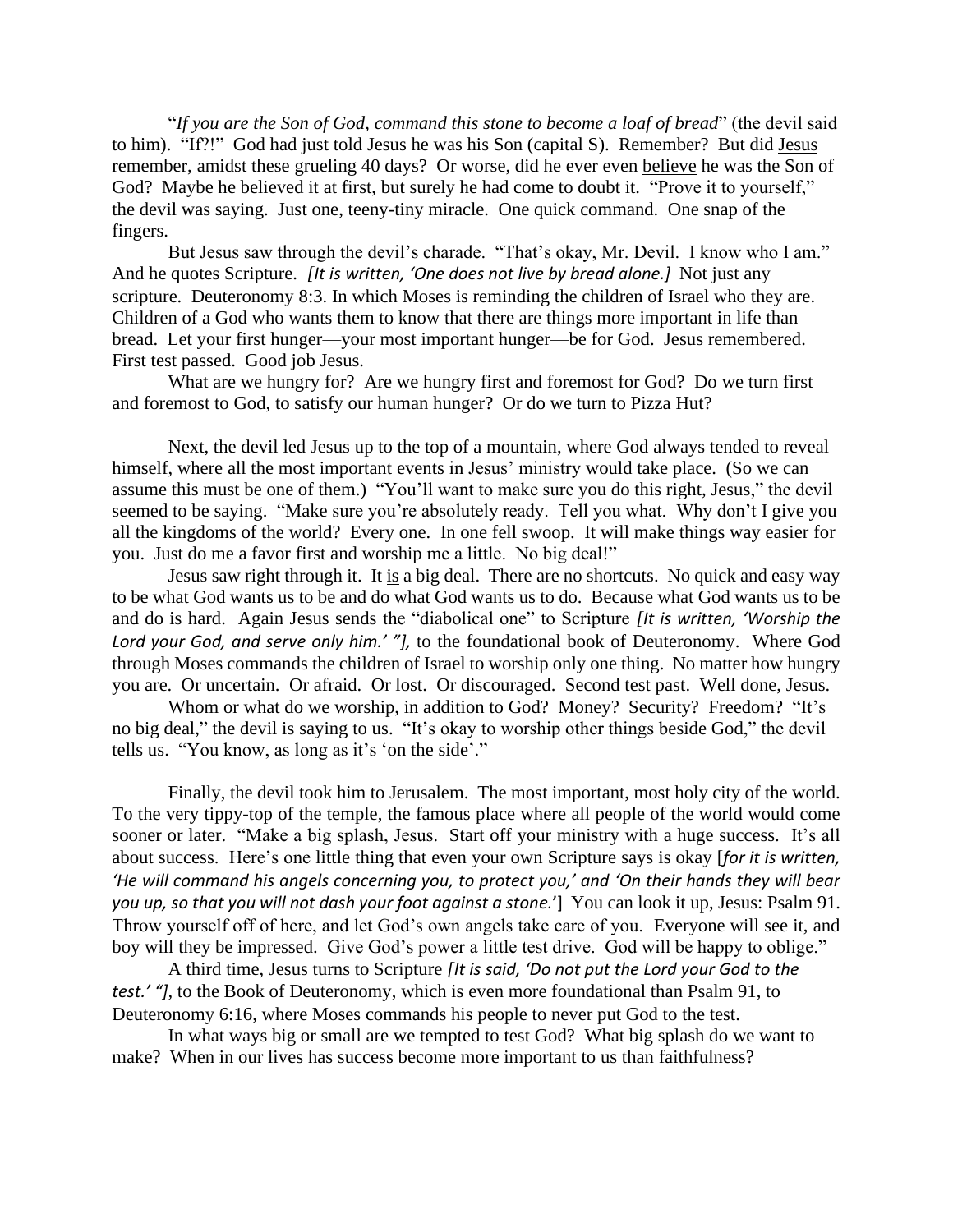"*If you are the Son of God, command this stone to become a loaf of bread*" (the devil said to him). "If?!" God had just told Jesus he was his Son (capital S). Remember? But did Jesus remember, amidst these grueling 40 days? Or worse, did he ever even believe he was the Son of God? Maybe he believed it at first, but surely he had come to doubt it. "Prove it to yourself," the devil was saying. Just one, teeny-tiny miracle. One quick command. One snap of the fingers.

But Jesus saw through the devil's charade. "That's okay, Mr. Devil. I know who I am." And he quotes Scripture. *[It is written, 'One does not live by bread alone.]* Not just any scripture. Deuteronomy 8:3. In which Moses is reminding the children of Israel who they are. Children of a God who wants them to know that there are things more important in life than bread. Let your first hunger—your most important hunger—be for God. Jesus remembered. First test passed. Good job Jesus.

What are we hungry for? Are we hungry first and foremost for God? Do we turn first and foremost to God, to satisfy our human hunger? Or do we turn to Pizza Hut?

Next, the devil led Jesus up to the top of a mountain, where God always tended to reveal himself, where all the most important events in Jesus' ministry would take place. (So we can assume this must be one of them.) "You'll want to make sure you do this right, Jesus," the devil seemed to be saying. "Make sure you're absolutely ready. Tell you what. Why don't I give you all the kingdoms of the world? Every one. In one fell swoop. It will make things way easier for you. Just do me a favor first and worship me a little. No big deal!"

Jesus saw right through it. It is a big deal. There are no shortcuts. No quick and easy way to be what God wants us to be and do what God wants us to do. Because what God wants us to be and do is hard. Again Jesus sends the "diabolical one" to Scripture *[It is written, 'Worship the Lord your God, and serve only him.' "],* to the foundational book of Deuteronomy. Where God through Moses commands the children of Israel to worship only one thing. No matter how hungry you are. Or uncertain. Or afraid. Or lost. Or discouraged. Second test past. Well done, Jesus.

Whom or what do we worship, in addition to God? Money? Security? Freedom? "It's no big deal," the devil is saying to us. "It's okay to worship other things beside God," the devil tells us. "You know, as long as it's 'on the side'."

Finally, the devil took him to Jerusalem. The most important, most holy city of the world. To the very tippy-top of the temple, the famous place where all people of the world would come sooner or later. "Make a big splash, Jesus. Start off your ministry with a huge success. It's all about success. Here's one little thing that even your own Scripture says is okay [*for it is written, 'He will command his angels concerning you, to protect you,' and 'On their hands they will bear you up, so that you will not dash your foot against a stone.*'] You can look it up, Jesus: Psalm 91. Throw yourself off of here, and let God's own angels take care of you. Everyone will see it, and boy will they be impressed. Give God's power a little test drive. God will be happy to oblige."

A third time, Jesus turns to Scripture *[It is said, 'Do not put the Lord your God to the test.' "],* to the Book of Deuteronomy, which is even more foundational than Psalm 91, to Deuteronomy 6:16, where Moses commands his people to never put God to the test.

In what ways big or small are we tempted to test God? What big splash do we want to make? When in our lives has success become more important to us than faithfulness?